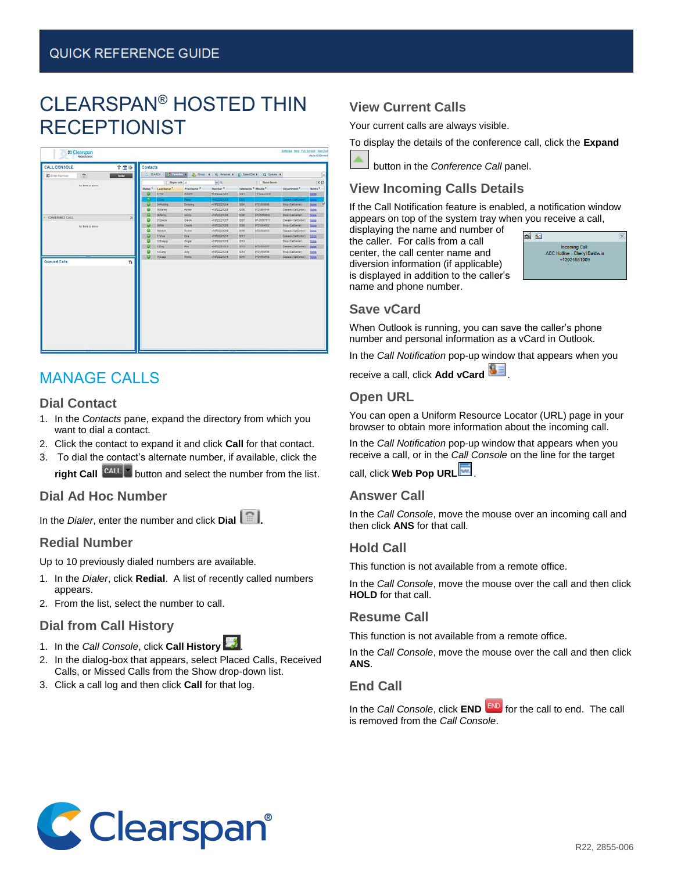# CLEARSPAN® HOSTED THIN RECEPTIONIST

| <b>CALL CONSOLE</b>     |                    | 学图条          | Contacts     |                     |               |              |                                            |                     |                            |                |
|-------------------------|--------------------|--------------|--------------|---------------------|---------------|--------------|--------------------------------------------|---------------------|----------------------------|----------------|
| <b>32 Enter Faundan</b> | $\mathbb{R}$       | <b>BOTTE</b> | $C_1$ SEARCH | <b>Carolina R</b>   | 2. Gour x     |              | 12 Fevrona X   E   Speed Dat X             | X. John 21.         |                            | 區              |
|                         | ful down to wholes |              |              | Began with 2.5      |               | $  u  $ ().  |                                            | <b>COMMA</b> Search |                            | <b>IX</b>      |
|                         |                    |              | Statu's R.   | <b>Lest Name 7:</b> | First Name 2  | Namber 3     | Extension <sup>2</sup> Mobile <sup>2</sup> |                     | Department R               | <b>Botes R</b> |
|                         |                    |              |              | diral.              | Adum          | +19722221201 | 3201                                       | 111-322-3333        |                            | bites.         |
|                         |                    |              |              | ≂                   | <b>Power</b>  | 110722221233 | <b>CO</b>                                  |                     | <b>Classes (CalCenter)</b> | $\mathbf{z}$   |
|                         |                    |              |              | <b>DiPubling</b>    | Dunping       | 410722221204 | 9234                                       | <b>BYZERRANNE</b>   | <b>Shrip (CalCantar)</b>   | <b>BOH</b>     |
|                         |                    |              |              | OStéaneur           | <b>Harles</b> | +10722221201 | 1299                                       | 9720554543          | Classes (CaliCenter)       | <b>Zabra</b>   |
| CONFERENCE CALL         |                    | $\mathbb X$  |              | <b>OUTWIEW</b>      | <b>Invo</b> r | +10722221004 | 3200                                       | 972-0054550         | Ship (CalCenter)           | book           |
|                         |                    |              |              | <b>OTOrace</b>      | <b>Grace</b>  | +19722221207 | 1207                                       | BF-25557777         | Cosses (CalCenter)         | boas           |
|                         | ha tere to show    |              |              | Oblida              | <b>Charle</b> | +10722221204 | 5200                                       | 9725054582          | Shea (CalCentar)           | <b>Sichra</b>  |
|                         |                    |              |              | cooks               | $2+6$         | +10722221201 | 1209                                       | 9725554553          | Cleases (CalCenter):       | <b>Sales</b>   |
|                         |                    |              |              | <b>TIVIAN</b>       | Dire          | +10722221211 | 3211                                       |                     | County (CalCenter)         | Seles          |
|                         |                    |              |              | 125 nie py          | Orger         | +19722221212 | 12Q                                        |                     | Ship (CalCenter)           | <b>Seles</b>   |
|                         |                    |              |              | <b>Abbug</b>        | Pax           | +10722221213 | 9213                                       | 8725584557          | Couses (CalCenter)         | bins           |
|                         |                    |              |              | <b>SACARD</b>       | Any           | +10722221214 | 1214                                       | 9725054033          | Ship (CalCenter)           | <b>SOH</b>     |
|                         |                    |              |              | <b>ISABAR</b>       | <b>Prints</b> | +10722221218 | 1215                                       | 9725054550          | Cosses (CalCenter)         | <b>Exces</b>   |
| Queued Calls            |                    | ۲ı           |              |                     |               |              |                                            |                     |                            |                |

## MANAGE CALLS

#### **Dial Contact**

- 1. In the *Contacts* pane, expand the directory from which you want to dial a contact.
- 2. Click the contact to expand it and click **Call** for that contact.
- 3. To dial the contact's alternate number, if available, click the **right Call**  $\begin{bmatrix} \text{CAL} & \text{H} \\ \text{H} & \text{H} \end{bmatrix}$  **button and select the number from the list.**

#### **Dial Ad Hoc Number**

In the *Dialer*, enter the number and click **Dial** 

#### **Redial Number**

Up to 10 previously dialed numbers are available.

- 1. In the *Dialer*, click **Redial**. A list of recently called numbers appears.
- 2. From the list, select the number to call.

#### **Dial from Call History**

- 1. In the *Call Console*, click **Call History** .
- 2. In the dialog-box that appears, select Placed Calls, Received Calls, or Missed Calls from the Show drop-down list.
- 3. Click a call log and then click **Call** for that log.

## **View Current Calls**

Your current calls are always visible.

To display the details of the conference call, click the **Expand**

button in the *Conference Call* panel.

## **View Incoming Calls Details**

If the Call Notification feature is enabled, a notification window appears on top of the system tray when you receive a call,

displaying the name and number of the caller. For calls from a call center, the call center name and diversion information (if applicable) is displayed in addition to the caller's name and phone number.



#### **Save vCard**

When Outlook is running, you can save the caller's phone number and personal information as a vCard in Outlook.

In the *Call Notification* pop-up window that appears when you

receive a call, click **Add vCard ...** 

#### **Open URL**

You can open a Uniform Resource Locator (URL) page in your browser to obtain more information about the incoming call.

In the *Call Notification* pop-up window that appears when you receive a call, or in the *Call Console* on the line for the target

call, click **Web Pop URL** .

#### **Answer Call**

In the *Call Console*, move the mouse over an incoming call and then click **ANS** for that call.

#### **Hold Call**

This function is not available from a remote office.

In the *Call Console*, move the mouse over the call and then click **HOLD** for that call.

#### **Resume Call**

This function is not available from a remote office.

In the *Call Console*, move the mouse over the call and then click **ANS**.

#### **End Call**

In the *Call Console*, click **END** for the call to end. The call is removed from the *Call Console*.

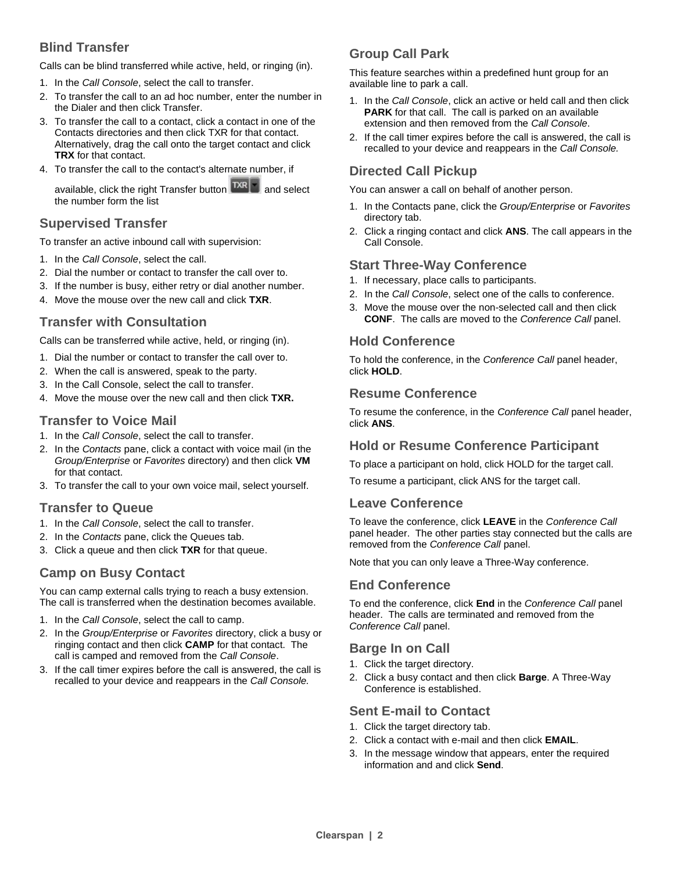## **Blind Transfer**

Calls can be blind transferred while active, held, or ringing (in).

- 1. In the *Call Console*, select the call to transfer.
- 2. To transfer the call to an ad hoc number, enter the number in the Dialer and then click Transfer.
- 3. To transfer the call to a contact, click a contact in one of the Contacts directories and then click TXR for that contact. Alternatively, drag the call onto the target contact and click **TRX** for that contact.
- 4. To transfer the call to the contact's alternate number, if

available, click the right Transfer button  $\left|\frac{TR}{2}\right|$  and select the number form the list

#### **Supervised Transfer**

To transfer an active inbound call with supervision:

- 1. In the *Call Console*, select the call.
- 2. Dial the number or contact to transfer the call over to.
- 3. If the number is busy, either retry or dial another number.
- 4. Move the mouse over the new call and click **TXR**.

#### **Transfer with Consultation**

Calls can be transferred while active, held, or ringing (in).

- 1. Dial the number or contact to transfer the call over to.
- 2. When the call is answered, speak to the party.
- 3. In the Call Console, select the call to transfer.
- 4. Move the mouse over the new call and then click **TXR.**

#### **Transfer to Voice Mail**

- 1. In the *Call Console*, select the call to transfer.
- 2. In the *Contacts* pane, click a contact with voice mail (in the *Group/Enterprise* or *Favorites* directory) and then click **VM** for that contact.
- 3. To transfer the call to your own voice mail, select yourself.

#### **Transfer to Queue**

- 1. In the *Call Console*, select the call to transfer.
- 2. In the *Contacts* pane, click the Queues tab.
- 3. Click a queue and then click **TXR** for that queue.

#### **Camp on Busy Contact**

You can camp external calls trying to reach a busy extension. The call is transferred when the destination becomes available.

- 1. In the *Call Console*, select the call to camp.
- 2. In the *Group/Enterprise* or *Favorites* directory, click a busy or ringing contact and then click **CAMP** for that contact. The call is camped and removed from the *Call Console*.
- 3. If the call timer expires before the call is answered, the call is recalled to your device and reappears in the *Call Console.*

## **Group Call Park**

This feature searches within a predefined hunt group for an available line to park a call.

- 1. In the *Call Console*, click an active or held call and then click **PARK** for that call. The call is parked on an available extension and then removed from the *Call Console*.
- 2. If the call timer expires before the call is answered, the call is recalled to your device and reappears in the *Call Console.*

#### **Directed Call Pickup**

You can answer a call on behalf of another person.

- 1. In the Contacts pane, click the *Group/Enterprise* or *Favorites* directory tab.
- 2. Click a ringing contact and click **ANS**. The call appears in the Call Console.

#### **Start Three-Way Conference**

- 1. If necessary, place calls to participants.
- 2. In the *Call Console*, select one of the calls to conference.
- 3. Move the mouse over the non-selected call and then click **CONF**. The calls are moved to the *Conference Call* panel.

#### **Hold Conference**

To hold the conference, in the *Conference Call* panel header, click **HOLD**.

#### **Resume Conference**

To resume the conference, in the *Conference Call* panel header, click **ANS**.

#### **Hold or Resume Conference Participant**

To place a participant on hold, click HOLD for the target call.

To resume a participant, click ANS for the target call.

#### **Leave Conference**

To leave the conference, click **LEAVE** in the *Conference Call* panel header. The other parties stay connected but the calls are removed from the *Conference Call* panel.

Note that you can only leave a Three-Way conference.

#### **End Conference**

To end the conference, click **End** in the *Conference Call* panel header. The calls are terminated and removed from the *Conference Call* panel.

#### **Barge In on Call**

- 1. Click the target directory.
- 2. Click a busy contact and then click **Barge**. A Three-Way Conference is established.

#### **Sent E-mail to Contact**

- 1. Click the target directory tab.
- 2. Click a contact with e-mail and then click **EMAIL**.
- 3. In the message window that appears, enter the required information and and click **Send**.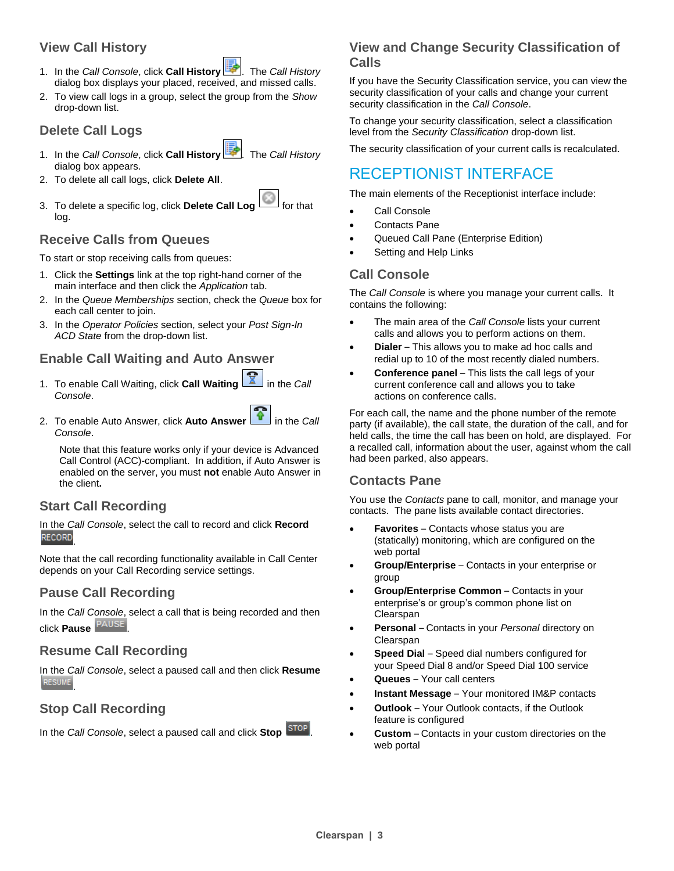## **View Call History**

- 1. In the *Call Console*, click **Call History** . The *Call History* dialog box displays your placed, received, and missed calls.
- 2. To view call logs in a group, select the group from the *Show* drop-down list.

## **Delete Call Logs**

- 1. In the *Call Console*, click **Call History** . The *Call History* dialog box appears.
- 2. To delete all call logs, click **Delete All**.
- 3. To delete a specific log, click Delete Call Log log.

## **Receive Calls from Queues**

To start or stop receiving calls from queues:

- 1. Click the **Settings** link at the top right-hand corner of the main interface and then click the *Application* tab.
- 2. In the *Queue Memberships* section, check the *Queue* box for each call center to join.
- 3. In the *Operator Policies* section, select your *Post Sign-In ACD State* from the drop-down list.

#### **Enable Call Waiting and Auto Answer**

- 1. To enable Call Waiting, click **Call Waiting 1** in the *Call Console*.
- 2. To enable Auto Answer, click **Auto Answer in** the *Call Console*.

Note that this feature works only if your device is Advanced Call Control (ACC)-compliant. In addition, if Auto Answer is enabled on the server, you must **not** enable Auto Answer in the client**.**

#### **Start Call Recording**

In the *Call Console*, select the call to record and click **Record** .

Note that the call recording functionality available in Call Center depends on your Call Recording service settings.

#### **Pause Call Recording**

In the *Call Console*, select a call that is being recorded and then click **Pause PAUSE** 

#### **Resume Call Recording**

In the *Call Console*, select a paused call and then click **Resume RESUME** 

#### **Stop Call Recording**

In the *Call Console*, select a paused call and click **Stop** .

#### **View and Change Security Classification of Calls**

If you have the Security Classification service, you can view the security classification of your calls and change your current security classification in the *Call Console*.

To change your security classification, select a classification level from the *Security Classification* drop-down list.

The security classification of your current calls is recalculated.

## RECEPTIONIST INTERFACE

The main elements of the Receptionist interface include:

- Call Console
- Contacts Pane
- Queued Call Pane (Enterprise Edition)
- Setting and Help Links

## **Call Console**

The *Call Console* is where you manage your current calls. It contains the following:

- The main area of the *Call Console* lists your current calls and allows you to perform actions on them.
- **Dialer** This allows you to make ad hoc calls and redial up to 10 of the most recently dialed numbers.
- **Conference panel** This lists the call legs of your current conference call and allows you to take actions on conference calls.

For each call, the name and the phone number of the remote party (if available), the call state, the duration of the call, and for held calls, the time the call has been on hold, are displayed. For a recalled call, information about the user, against whom the call had been parked, also appears.

#### **Contacts Pane**

You use the *Contacts* pane to call, monitor, and manage your contacts. The pane lists available contact directories.

- **Favorites** Contacts whose status you are (statically) monitoring, which are configured on the web portal
- **Group/Enterprise** Contacts in your enterprise or group
- **Group/Enterprise Common** Contacts in your enterprise's or group's common phone list on Clearspan
- **Personal** Contacts in your *Personal* directory on Clearspan
- **Speed Dial** Speed dial numbers configured for your Speed Dial 8 and/or Speed Dial 100 service
- **Queues**  Your call centers
- **Instant Message** Your monitored IM&P contacts
- **Outlook**  Your Outlook contacts, if the Outlook feature is configured
- **Custom**  Contacts in your custom directories on the web portal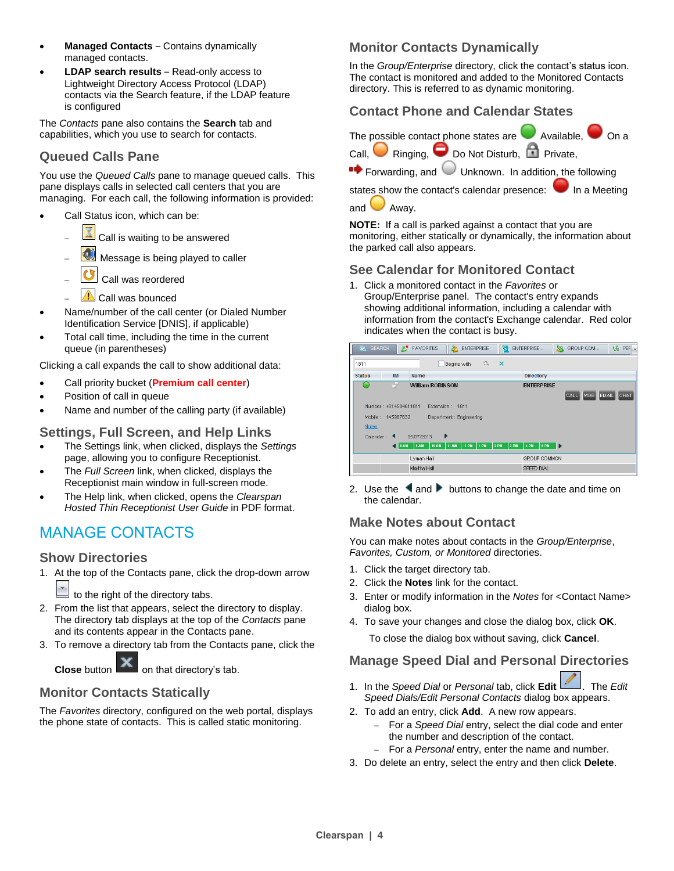- **Managed Contacts** Contains dynamically managed contacts.
- **LDAP search results**  Read-only access to Lightweight Directory Access Protocol (LDAP) contacts via the Search feature, if the LDAP feature is configured

The *Contacts* pane also contains the **Search** tab and capabilities, which you use to search for contacts.

## **Queued Calls Pane**

You use the *Queued Calls* pane to manage queued calls. This pane displays calls in selected call centers that you are managing. For each call, the following information is provided:

- Call Status icon, which can be:
	- Call is waiting to be answered
	- Message is being played to caller
	- Call was reordered
	- Call was bounced
- Name/number of the call center (or Dialed Number Identification Service [DNIS], if applicable)
- Total call time, including the time in the current queue (in parentheses)

Clicking a call expands the call to show additional data:

- Call priority bucket (**Premium call center**)
- Position of call in queue
- Name and number of the calling party (if available)

#### **Settings, Full Screen, and Help Links**

- The Settings link, when clicked, displays the *Settings* page, allowing you to configure Receptionist.
- The *Full Screen* link, when clicked, displays the Receptionist main window in full-screen mode.
- The Help link, when clicked, opens the *Clearspan Hosted Thin Receptionist User Guide* in PDF format.

## MANAGE CONTACTS

#### **Show Directories**

1. At the top of the Contacts pane, click the drop-down arrow

to the right of the directory tabs.

- 2. From the list that appears, select the directory to display. The directory tab displays at the top of the *Contacts* pane and its contents appear in the Contacts pane.
- 3. To remove a directory tab from the Contacts pane, click the

**Close** button **can be able on that directory's tab.** 

#### **Monitor Contacts Statically**

The *Favorites* directory, configured on the web portal, displays the phone state of contacts. This is called static monitoring.

## **Monitor Contacts Dynamically**

In the *Group/Enterprise* directory, click the contact's status icon. The contact is monitored and added to the Monitored Contacts directory. This is referred to as dynamic monitoring.

#### **Contact Phone and Calendar States**



 $\bullet\bullet$  Forwarding, and  $\bullet\bullet$  Unknown. In addition, the following

states show the contact's calendar presence: In a Meeting and  $\Box$  Away.

**NOTE:** If a call is parked against a contact that you are monitoring, either statically or dynamically, the information about the parked call also appears.

#### **See Calendar for Monitored Contact**

1. Click a monitored contact in the *Favorites* or Group/Enterprise panel. The contact's entry expands showing additional information, including a calendar with information from the contact's Exchange calendar. Red color indicates when the contact is busy.

| <b>E</b> FAVORITES<br>&<br><b>Q</b> SEARCH<br><b>ENTERPRISE</b>                                                                      | e.<br>切<br>PEF<br>SS.<br>GROUP COM<br>ENTERPRISE<br>$\overline{\phantom{a}}$       |
|--------------------------------------------------------------------------------------------------------------------------------------|------------------------------------------------------------------------------------|
| Begins with<br>1811                                                                                                                  | $\alpha$ $x$                                                                       |
| <b>IM</b><br><b>Status</b><br><b>Name</b>                                                                                            | Directory                                                                          |
| <b>William ROBINSON</b><br>Number: +914504611811<br>Extension: 1811<br>Mobile: 145987632<br>Department : Engineering<br><b>Notes</b> | <b>ENTERPRISE</b><br>MOB <sup>1</sup><br><b>EMAIL</b><br>CHAT<br>CALL <sup>1</sup> |
| ٠<br>05/07/2013<br>Calendar:<br>10 AM<br>11 AM<br>12 PM<br><b>TEAM</b><br><b>3 AM</b><br>1 PM<br>Lyman Hall<br>Martha Hall           | 2 PM<br>3 PM<br>4 PM<br>5 PM<br>⊪<br>GROUP COMMON                                  |

2. Use the  $\triangleleft$  and  $\triangleright$  buttons to change the date and time on the calendar.

#### **Make Notes about Contact**

You can make notes about contacts in the *Group/Enterprise*, *Favorites, Custom, or Monitored* directories.

- 1. Click the target directory tab.
- 2. Click the **Notes** link for the contact.
- 3. Enter or modify information in the *Notes* for <Contact Name> dialog box.
- 4. To save your changes and close the dialog box, click **OK**.

To close the dialog box without saving, click **Cancel**.

## **Manage Speed Dial and Personal Directories**

- 1. In the *Speed Dial* or *Personal* tab, click **Edit** . The *Edit Speed Dials/Edit Personal Contacts* dialog box appears.
- 2. To add an entry, click **Add**. A new row appears.
	- For a *Speed Dial* entry, select the dial code and enter the number and description of the contact.
	- For a *Personal* entry, enter the name and number.
- 3. Do delete an entry, select the entry and then click **Delete**.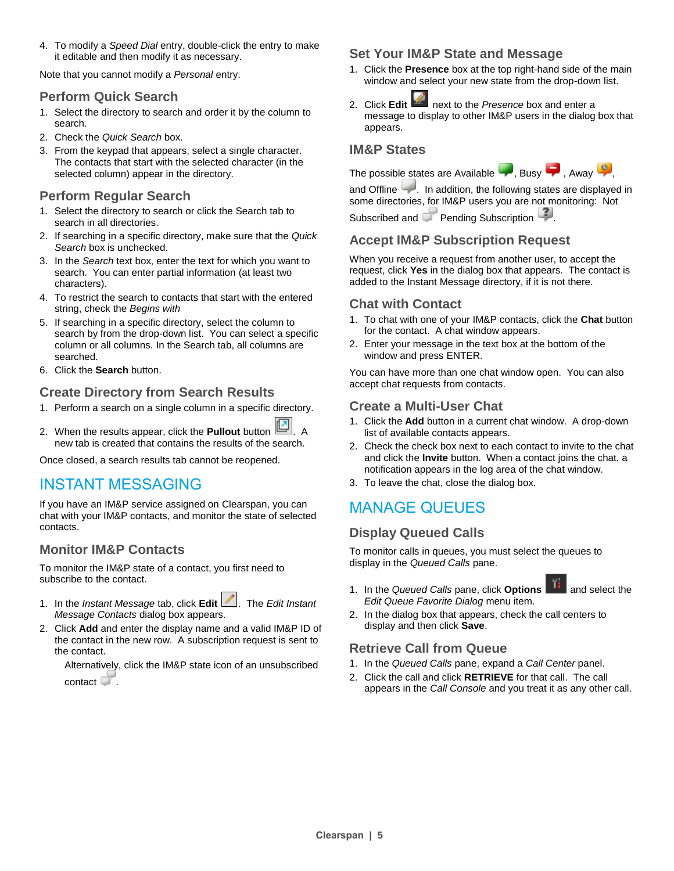4. To modify a *Speed Dial* entry, double-click the entry to make it editable and then modify it as necessary.

Note that you cannot modify a *Personal* entry.

#### **Perform Quick Search**

- 1. Select the directory to search and order it by the column to search.
- 2. Check the *Quick Search* box.
- 3. From the keypad that appears, select a single character. The contacts that start with the selected character (in the selected column) appear in the directory.

#### **Perform Regular Search**

- 1. Select the directory to search or click the Search tab to search in all directories.
- 2. If searching in a specific directory, make sure that the *Quick Search* box is unchecked.
- 3. In the *Search* text box, enter the text for which you want to search. You can enter partial information (at least two characters).
- 4. To restrict the search to contacts that start with the entered string, check the *Begins with*
- 5. If searching in a specific directory, select the column to search by from the drop-down list. You can select a specific column or all columns. In the Search tab, all columns are searched.
- 6. Click the **Search** button.

## **Create Directory from Search Results**

- 1. Perform a search on a single column in a specific directory.
- 2. When the results appear, click the **Pullout** button **...** A new tab is created that contains the results of the search.

Once closed, a search results tab cannot be reopened.

## INSTANT MESSAGING

If you have an IM&P service assigned on Clearspan, you can chat with your IM&P contacts, and monitor the state of selected contacts.

#### **Monitor IM&P Contacts**

To monitor the IM&P state of a contact, you first need to subscribe to the contact.

- 1. In the *Instant Message* tab, click **Edit** 1. The *Edit Instant Message Contacts* dialog box appears.
- 2. Click **Add** and enter the display name and a valid IM&P ID of the contact in the new row. A subscription request is sent to the contact.

Alternatively, click the IM&P state icon of an unsubscribed contact  $\Box$ 

### **Set Your IM&P State and Message**

- 1. Click the **Presence** box at the top right-hand side of the main window and select your new state from the drop-down list.
- 2. Click **Edit** next to the *Presence* box and enter a message to display to other IM&P users in the dialog box that appears.

### **IM&P States**

The possible states are Available  $\Box$ , Busy  $\Box$ , Away  $\Box$ 



and Offline . In addition, the following states are displayed in some directories, for IM&P users you are not monitoring: Not

Subscribed and Pending Subscription

## **Accept IM&P Subscription Request**

When you receive a request from another user, to accept the request, click **Yes** in the dialog box that appears. The contact is added to the Instant Message directory, if it is not there.

#### **Chat with Contact**

- 1. To chat with one of your IM&P contacts, click the **Chat** button for the contact. A chat window appears.
- 2. Enter your message in the text box at the bottom of the window and press ENTER.

You can have more than one chat window open. You can also accept chat requests from contacts.

#### **Create a Multi-User Chat**

- 1. Click the **Add** button in a current chat window. A drop-down list of available contacts appears.
- 2. Check the check box next to each contact to invite to the chat and click the **Invite** button. When a contact joins the chat, a notification appears in the log area of the chat window.
- 3. To leave the chat, close the dialog box.

## MANAGE QUEUES

## **Display Queued Calls**

To monitor calls in queues, you must select the queues to display in the *Queued Calls* pane.

1. In the *Queued Calls* pane, click **Options** and select the *Edit Queue Favorite Dialog* menu item.

2. In the dialog box that appears, check the call centers to display and then click **Save**.

## **Retrieve Call from Queue**

- 1. In the *Queued Calls* pane, expand a *Call Center* panel.
- 2. Click the call and click **RETRIEVE** for that call. The call appears in the *Call Console* and you treat it as any other call.